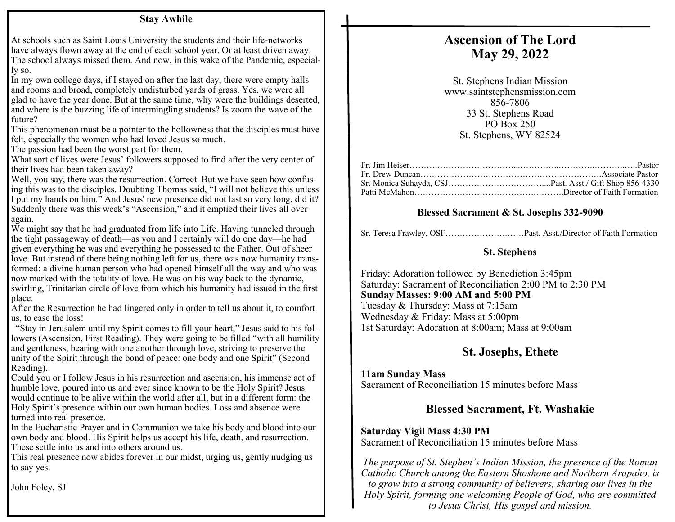#### **Stay Awhile**

At schools such as Saint Louis University the students and their life-networks have always flown away at the end of each school year. Or at least driven away. The school always missed them. And now, in this wake of the Pandemic, especially so.

In my own college days, if I stayed on after the last day, there were empty halls and rooms and broad, completely undisturbed yards of grass. Yes, we were all glad to have the year done. But at the same time, why were the buildings deserted, and where is the buzzing life of intermingling students? Is zoom the wave of the future?

This phenomenon must be a pointer to the hollowness that the disciples must have felt, especially the women who had loved Jesus so much.

The passion had been the worst part for them.

What sort of lives were Jesus' followers supposed to find after the very center of their lives had been taken away?

Well, you say, there was the resurrection. Correct. But we have seen how confusing this was to the disciples. Doubting Thomas said, "I will not believe this unless I put my hands on him." And Jesus' new presence did not last so very long, did it? Suddenly there was this week's "Ascension," and it emptied their lives all over again.

We might say that he had graduated from life into Life. Having tunneled through the tight passageway of death—as you and I certainly will do one day—he had given everything he was and everything he possessed to the Father. Out of sheer love. But instead of there being nothing left for us, there was now humanity transformed: a divine human person who had opened himself all the way and who was now marked with the totality of love. He was on his way back to the dynamic, swirling, Trinitarian circle of love from which his humanity had issued in the first place.

After the Resurrection he had lingered only in order to tell us about it, to comfort us, to ease the loss!

 "Stay in Jerusalem until my Spirit comes to fill your heart," Jesus said to his followers (Ascension, First Reading). They were going to be filled "with all humility and gentleness, bearing with one another through love, striving to preserve the unity of the Spirit through the bond of peace: one body and one Spirit" (Second Reading).

Could you or I follow Jesus in his resurrection and ascension, his immense act of humble love, poured into us and ever since known to be the Holy Spirit? Jesus would continue to be alive within the world after all, but in a different form: the Holy Spirit's presence within our own human bodies. Loss and absence were turned into real presence.

In the Eucharistic Prayer and in Communion we take his body and blood into our own body and blood. His Spirit helps us accept his life, death, and resurrection. These settle into us and into others around us.

This real presence now abides forever in our midst, urging us, gently nudging us to say yes.

John Foley, SJ

# **Ascension of The Lord May 29, 2022**

St. Stephens Indian Mission www.saintstephensmission.com 856-7806 33 St. Stephens Road PO Box 250 St. Stephens, WY 82524

### **Blessed Sacrament & St. Josephs 332-9090**

|  |  | Sr. Teresa Frawley, OSFPast. Asst./Director of Faith Formation |  |
|--|--|----------------------------------------------------------------|--|
|  |  |                                                                |  |

#### **St. Stephens**

Friday: Adoration followed by Benediction 3:45pm Saturday: Sacrament of Reconciliation 2:00 PM to 2:30 PM **Sunday Masses: 9:00 AM and 5:00 PM**  Tuesday & Thursday: Mass at 7:15am Wednesday & Friday: Mass at 5:00pm 1st Saturday: Adoration at 8:00am; Mass at 9:00am

# **St. Josephs, Ethete**

#### **11am Sunday Mass**

Sacrament of Reconciliation 15 minutes before Mass

# **Blessed Sacrament, Ft. Washakie**

#### **Saturday Vigil Mass 4:30 PM**

Sacrament of Reconciliation 15 minutes before Mass

*The purpose of St. Stephen's Indian Mission, the presence of the Roman Catholic Church among the Eastern Shoshone and Northern Arapaho, is to grow into a strong community of believers, sharing our lives in the Holy Spirit, forming one welcoming People of God, who are committed to Jesus Christ, His gospel and mission.*